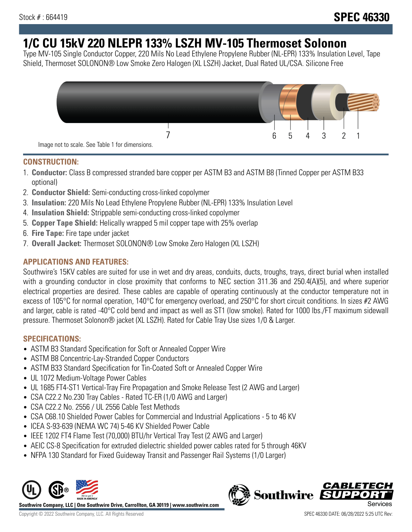# **1/C CU 15kV 220 NLEPR 133% LSZH MV-105 Thermoset Solonon**

Type MV-105 Single Conductor Copper, 220 Mils No Lead Ethylene Propylene Rubber (NL-EPR) 133% Insulation Level, Tape Shield, Thermoset SOLONON® Low Smoke Zero Halogen (XL LSZH) Jacket, Dual Rated UL/CSA. Silicone Free



### **CONSTRUCTION:**

- 1. **Conductor:** Class B compressed stranded bare copper per ASTM B3 and ASTM B8 (Tinned Copper per ASTM B33 optional)
- 2. **Conductor Shield:** Semi-conducting cross-linked copolymer
- 3. **Insulation:** 220 Mils No Lead Ethylene Propylene Rubber (NL-EPR) 133% Insulation Level
- 4. **Insulation Shield:** Strippable semi-conducting cross-linked copolymer
- 5. **Copper Tape Shield:** Helically wrapped 5 mil copper tape with 25% overlap
- 6. **Fire Tape:** Fire tape under jacket
- 7. **Overall Jacket:** Thermoset SOLONON® Low Smoke Zero Halogen (XL LSZH)

## **APPLICATIONS AND FEATURES:**

Southwire's 15KV cables are suited for use in wet and dry areas, conduits, ducts, troughs, trays, direct burial when installed with a grounding conductor in close proximity that conforms to NEC section 311.36 and 250.4(A)(5), and where superior electrical properties are desired. These cables are capable of operating continuously at the conductor temperature not in excess of 105°C for normal operation, 140°C for emergency overload, and 250°C for short circuit conditions. In sizes #2 AWG and larger, cable is rated -40°C cold bend and impact as well as ST1 (low smoke). Rated for 1000 lbs./FT maximum sidewall pressure. Thermoset Solonon® jacket (XL LSZH). Rated for Cable Tray Use sizes 1/0 & Larger.

## **SPECIFICATIONS:**

- ASTM B3 Standard Specification for Soft or Annealed Copper Wire
- ASTM B8 Concentric-Lay-Stranded Copper Conductors
- ASTM B33 Standard Specification for Tin-Coated Soft or Annealed Copper Wire
- UL 1072 Medium-Voltage Power Cables
- UL 1685 FT4-ST1 Vertical-Tray Fire Propagation and Smoke Release Test (2 AWG and Larger)
- CSA C22.2 No.230 Tray Cables Rated TC-ER (1/0 AWG and Larger)
- CSA C22.2 No. 2556 / UL 2556 Cable Test Methods
- CSA C68.10 Shielded Power Cables for Commercial and Industrial Applications 5 to 46 KV
- ICEA S-93-639 (NEMA WC 74) 5-46 KV Shielded Power Cable
- IEEE 1202 FT4 Flame Test (70,000) BTU/hr Vertical Tray Test (2 AWG and Larger)
- AEIC CS-8 Specification for extruded dielectric shielded power cables rated for 5 through 46KV
- NFPA 130 Standard for Fixed Guideway Transit and Passenger Rail Systems (1/0 Larger)



**Southwire Company, LLC | One Southwire Drive, Carrollton, GA 30119 | www.southwire.com**